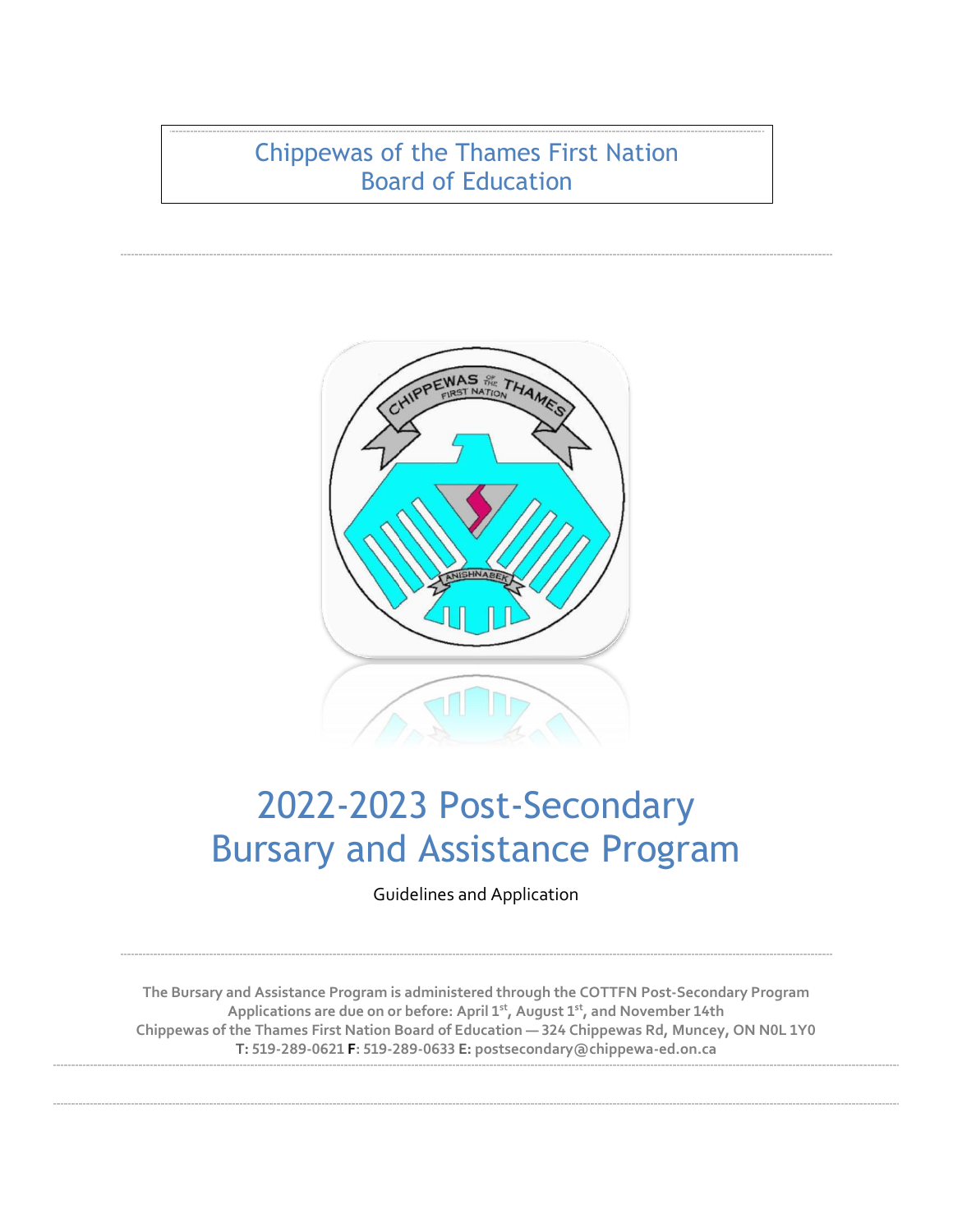Chippewas of the Thames First Nation Board of Education



# 2022-2023 Post-Secondary Bursary and Assistance Program

Guidelines and Application

**The Bursary and Assistance Program is administered through the COTTFN Post-Secondary Program Applications are due on or before: April 1st, August 1st, and November 14th Chippewas of the Thames First Nation Board of Education — 324 Chippewas Rd, Muncey, ON N0L 1Y0 T: 519-289-0621 F: 519-289-0633 E: postsecondary@chippewa-ed.on.ca**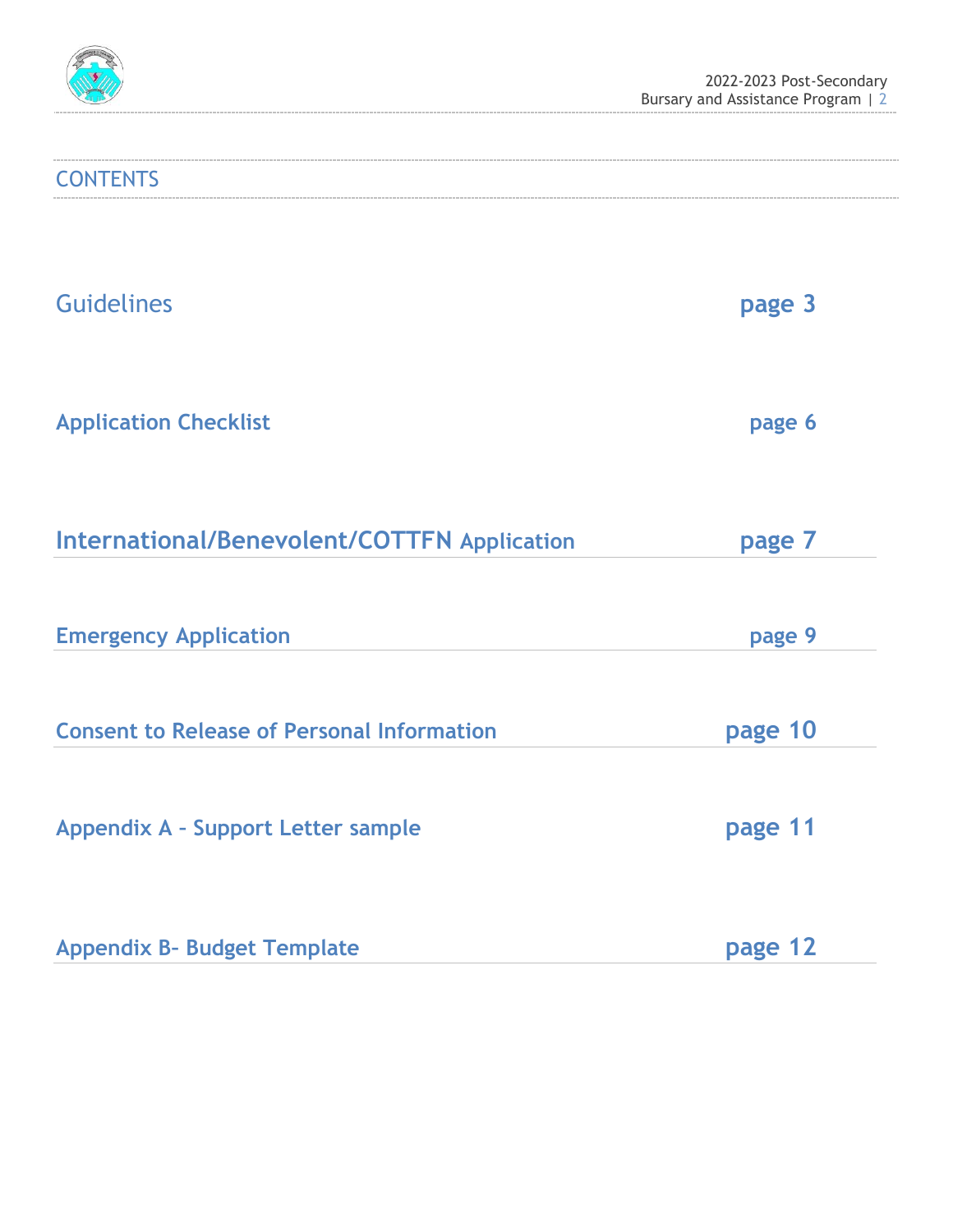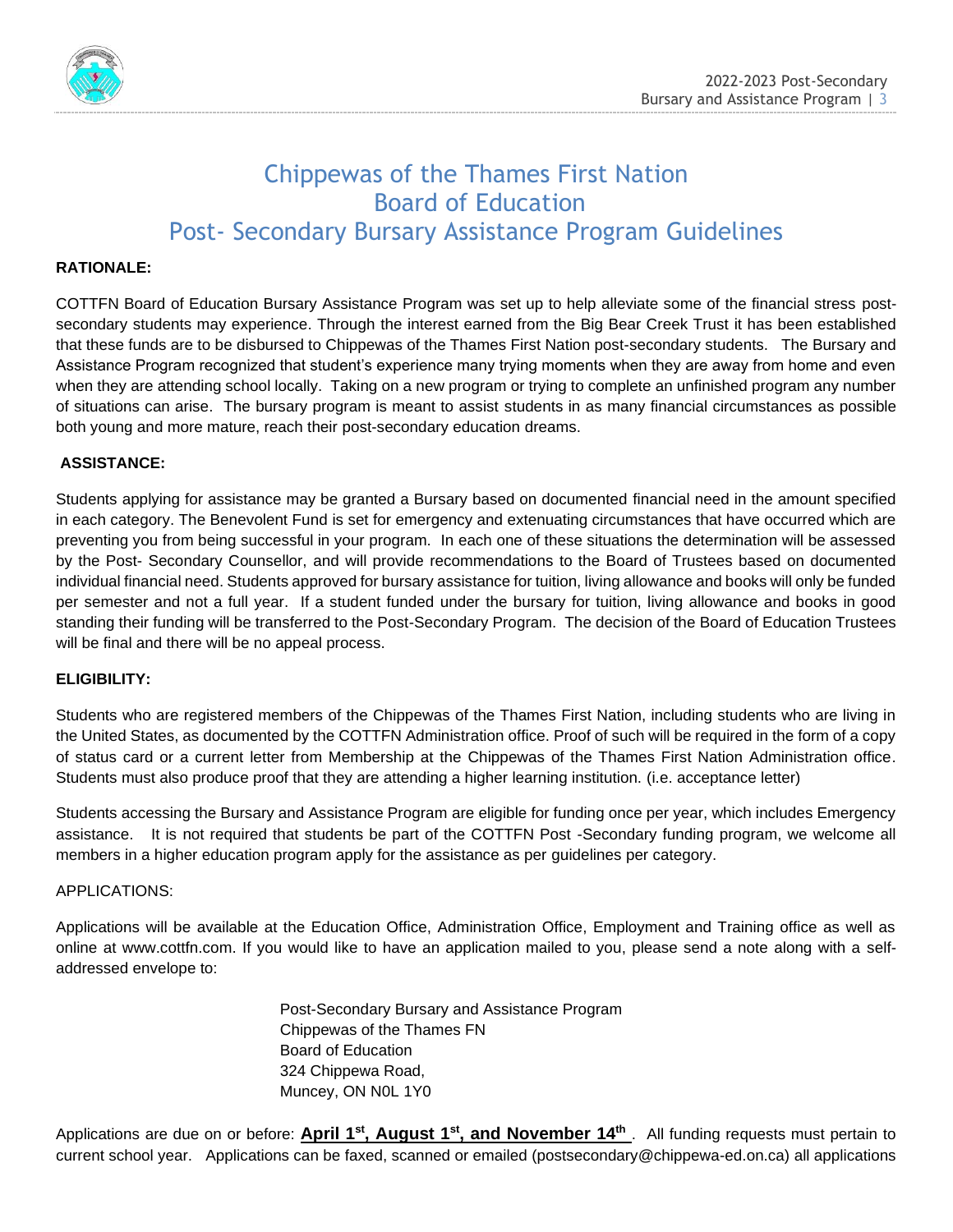

# Chippewas of the Thames First Nation Board of Education Post- Secondary Bursary Assistance Program Guidelines

## **RATIONALE:**

COTTFN Board of Education Bursary Assistance Program was set up to help alleviate some of the financial stress postsecondary students may experience. Through the interest earned from the Big Bear Creek Trust it has been established that these funds are to be disbursed to Chippewas of the Thames First Nation post-secondary students. The Bursary and Assistance Program recognized that student's experience many trying moments when they are away from home and even when they are attending school locally. Taking on a new program or trying to complete an unfinished program any number of situations can arise. The bursary program is meant to assist students in as many financial circumstances as possible both young and more mature, reach their post-secondary education dreams.

## **ASSISTANCE:**

Students applying for assistance may be granted a Bursary based on documented financial need in the amount specified in each category. The Benevolent Fund is set for emergency and extenuating circumstances that have occurred which are preventing you from being successful in your program. In each one of these situations the determination will be assessed by the Post- Secondary Counsellor, and will provide recommendations to the Board of Trustees based on documented individual financial need. Students approved for bursary assistance for tuition, living allowance and books will only be funded per semester and not a full year. If a student funded under the bursary for tuition, living allowance and books in good standing their funding will be transferred to the Post-Secondary Program. The decision of the Board of Education Trustees will be final and there will be no appeal process.

## **ELIGIBILITY:**

Students who are registered members of the Chippewas of the Thames First Nation, including students who are living in the United States, as documented by the COTTFN Administration office. Proof of such will be required in the form of a copy of status card or a current letter from Membership at the Chippewas of the Thames First Nation Administration office. Students must also produce proof that they are attending a higher learning institution. (i.e. acceptance letter)

Students accessing the Bursary and Assistance Program are eligible for funding once per year, which includes Emergency assistance. It is not required that students be part of the COTTFN Post -Secondary funding program, we welcome all members in a higher education program apply for the assistance as per guidelines per category.

## APPLICATIONS:

Applications will be available at the Education Office, Administration Office, Employment and Training office as well as online at www.cottfn.com. If you would like to have an application mailed to you, please send a note along with a selfaddressed envelope to:

> Post-Secondary Bursary and Assistance Program Chippewas of the Thames FN Board of Education 324 Chippewa Road, Muncey, ON N0L 1Y0

Applications are due on or before: **April 1st, August 1st, and November 14th** . All funding requests must pertain to current school year. Applications can be faxed, scanned or emailed (postsecondary@chippewa-ed.on.ca) all applications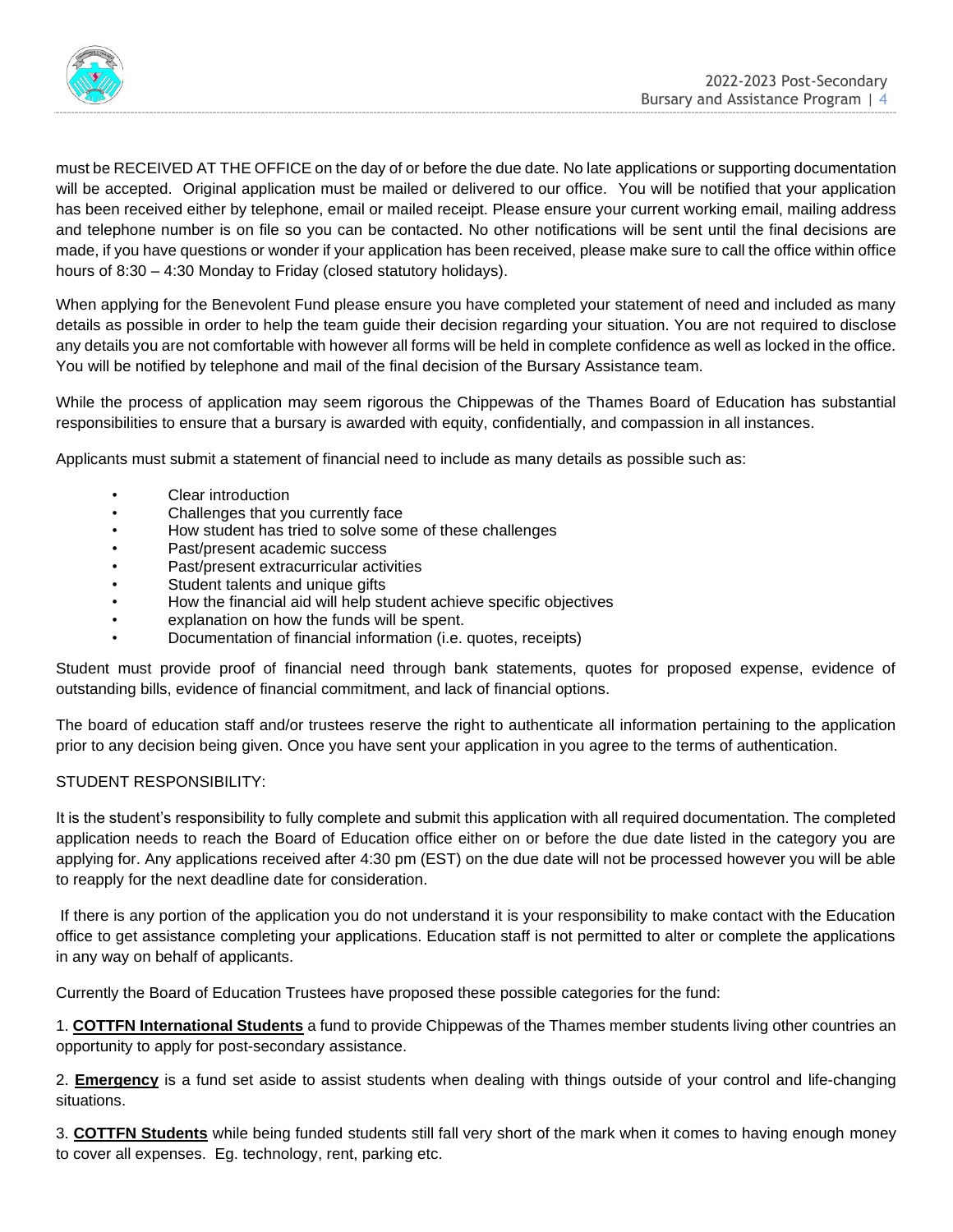

must be RECEIVED AT THE OFFICE on the day of or before the due date. No late applications or supporting documentation will be accepted. Original application must be mailed or delivered to our office. You will be notified that your application has been received either by telephone, email or mailed receipt. Please ensure your current working email, mailing address and telephone number is on file so you can be contacted. No other notifications will be sent until the final decisions are made, if you have questions or wonder if your application has been received, please make sure to call the office within office hours of 8:30 – 4:30 Monday to Friday (closed statutory holidays).

When applying for the Benevolent Fund please ensure you have completed your statement of need and included as many details as possible in order to help the team guide their decision regarding your situation. You are not required to disclose any details you are not comfortable with however all forms will be held in complete confidence as well as locked in the office. You will be notified by telephone and mail of the final decision of the Bursary Assistance team.

While the process of application may seem rigorous the Chippewas of the Thames Board of Education has substantial responsibilities to ensure that a bursary is awarded with equity, confidentially, and compassion in all instances.

Applicants must submit a statement of financial need to include as many details as possible such as:

- Clear introduction
- Challenges that you currently face
- How student has tried to solve some of these challenges
- Past/present academic success
- Past/present extracurricular activities
- Student talents and unique gifts
- How the financial aid will help student achieve specific objectives
- explanation on how the funds will be spent.
- Documentation of financial information (i.e. quotes, receipts)

Student must provide proof of financial need through bank statements, quotes for proposed expense, evidence of outstanding bills, evidence of financial commitment, and lack of financial options.

The board of education staff and/or trustees reserve the right to authenticate all information pertaining to the application prior to any decision being given. Once you have sent your application in you agree to the terms of authentication.

## STUDENT RESPONSIBILITY:

It is the student's responsibility to fully complete and submit this application with all required documentation. The completed application needs to reach the Board of Education office either on or before the due date listed in the category you are applying for. Any applications received after 4:30 pm (EST) on the due date will not be processed however you will be able to reapply for the next deadline date for consideration.

If there is any portion of the application you do not understand it is your responsibility to make contact with the Education office to get assistance completing your applications. Education staff is not permitted to alter or complete the applications in any way on behalf of applicants.

Currently the Board of Education Trustees have proposed these possible categories for the fund:

1. **COTTFN International Students** a fund to provide Chippewas of the Thames member students living other countries an opportunity to apply for post-secondary assistance.

2. **Emergency** is a fund set aside to assist students when dealing with things outside of your control and life-changing situations.

3. **COTTFN Students** while being funded students still fall very short of the mark when it comes to having enough money to cover all expenses. Eg. technology, rent, parking etc.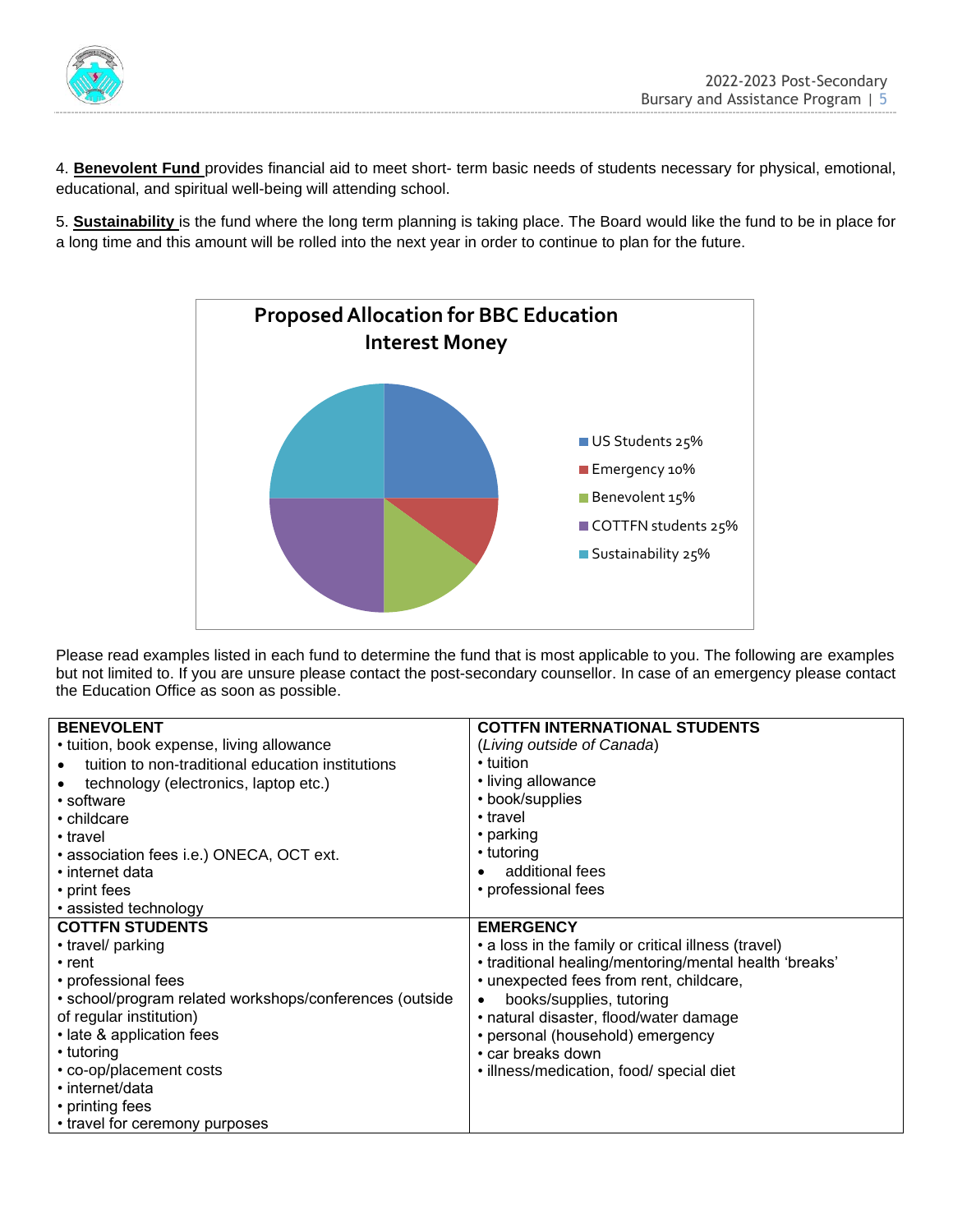

4. **Benevolent Fund** provides financial aid to meet short- term basic needs of students necessary for physical, emotional, educational, and spiritual well-being will attending school.

5. **Sustainability** is the fund where the long term planning is taking place. The Board would like the fund to be in place for a long time and this amount will be rolled into the next year in order to continue to plan for the future.



Please read examples listed in each fund to determine the fund that is most applicable to you. The following are examples but not limited to. If you are unsure please contact the post-secondary counsellor. In case of an emergency please contact the Education Office as soon as possible.

| <b>BENEVOLENT</b>                                       | <b>COTTFN INTERNATIONAL STUDENTS</b>                   |
|---------------------------------------------------------|--------------------------------------------------------|
| • tuition, book expense, living allowance               | (Living outside of Canada)                             |
| tuition to non-traditional education institutions       | ∙ tuition                                              |
| technology (electronics, laptop etc.)                   | • living allowance                                     |
| • software                                              | • book/supplies                                        |
| • childcare                                             | • travel                                               |
| • travel                                                | $\cdot$ parking                                        |
| • association fees i.e.) ONECA, OCT ext.                | • tutoring                                             |
| $\cdot$ internet data                                   | additional fees                                        |
| • print fees                                            | • professional fees                                    |
| • assisted technology                                   |                                                        |
| <b>COTTFN STUDENTS</b>                                  | <b>EMERGENCY</b>                                       |
| • travel/ parking                                       | • a loss in the family or critical illness (travel)    |
| $\cdot$ rent                                            | • traditional healing/mentoring/mental health 'breaks' |
| • professional fees                                     | • unexpected fees from rent, childcare,                |
| • school/program related workshops/conferences (outside | books/supplies, tutoring<br>$\bullet$                  |
| of regular institution)                                 | · natural disaster, flood/water damage                 |
| • late & application fees                               | • personal (household) emergency                       |
| • tutoring                                              | • car breaks down                                      |
| • co-op/placement costs                                 | · illness/medication, food/ special diet               |
| • internet/data                                         |                                                        |
| • printing fees                                         |                                                        |
| • travel for ceremony purposes                          |                                                        |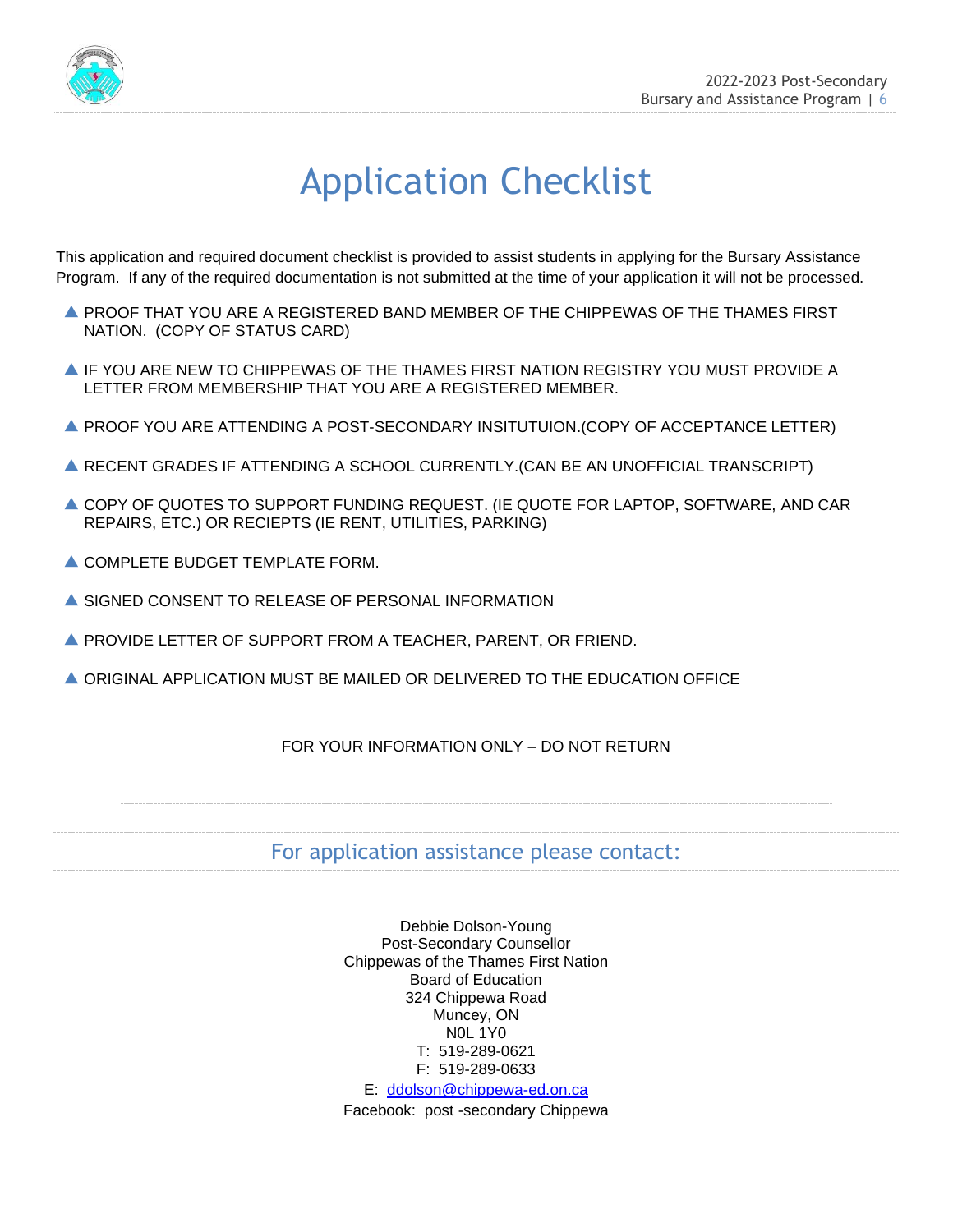

# Application Checklist

This application and required document checklist is provided to assist students in applying for the Bursary Assistance Program. If any of the required documentation is not submitted at the time of your application it will not be processed.

- PROOF THAT YOU ARE A REGISTERED BAND MEMBER OF THE CHIPPEWAS OF THE THAMES FIRST NATION. (COPY OF STATUS CARD)
- $\blacktriangle$  IF YOU ARE NEW TO CHIPPEWAS OF THE THAMES FIRST NATION REGISTRY YOU MUST PROVIDE A LETTER FROM MEMBERSHIP THAT YOU ARE A REGISTERED MEMBER.
- **A PROOF YOU ARE ATTENDING A POST-SECONDARY INSITUTUION.(COPY OF ACCEPTANCE LETTER)**
- RECENT GRADES IF ATTENDING A SCHOOL CURRENTLY.(CAN BE AN UNOFFICIAL TRANSCRIPT)
- COPY OF QUOTES TO SUPPORT FUNDING REQUEST. (IE QUOTE FOR LAPTOP, SOFTWARE, AND CAR REPAIRS, ETC.) OR RECIEPTS (IE RENT, UTILITIES, PARKING)
- **A COMPLETE BUDGET TEMPLATE FORM.**
- A SIGNED CONSENT TO RELEASE OF PERSONAL INFORMATION
- PROVIDE LETTER OF SUPPORT FROM A TEACHER, PARENT, OR FRIEND.
- ORIGINAL APPLICATION MUST BE MAILED OR DELIVERED TO THE EDUCATION OFFICE

## FOR YOUR INFORMATION ONLY – DO NOT RETURN

# For application assistance please contact:

Debbie Dolson-Young Post-Secondary Counsellor Chippewas of the Thames First Nation Board of Education 324 Chippewa Road Muncey, ON N0L 1Y0 T: 519-289-0621 F: 519-289-0633

E: [ddolson@chippewa-ed.on.ca](mailto:ddolson@chippewa-ed.on.ca) Facebook: post -secondary Chippewa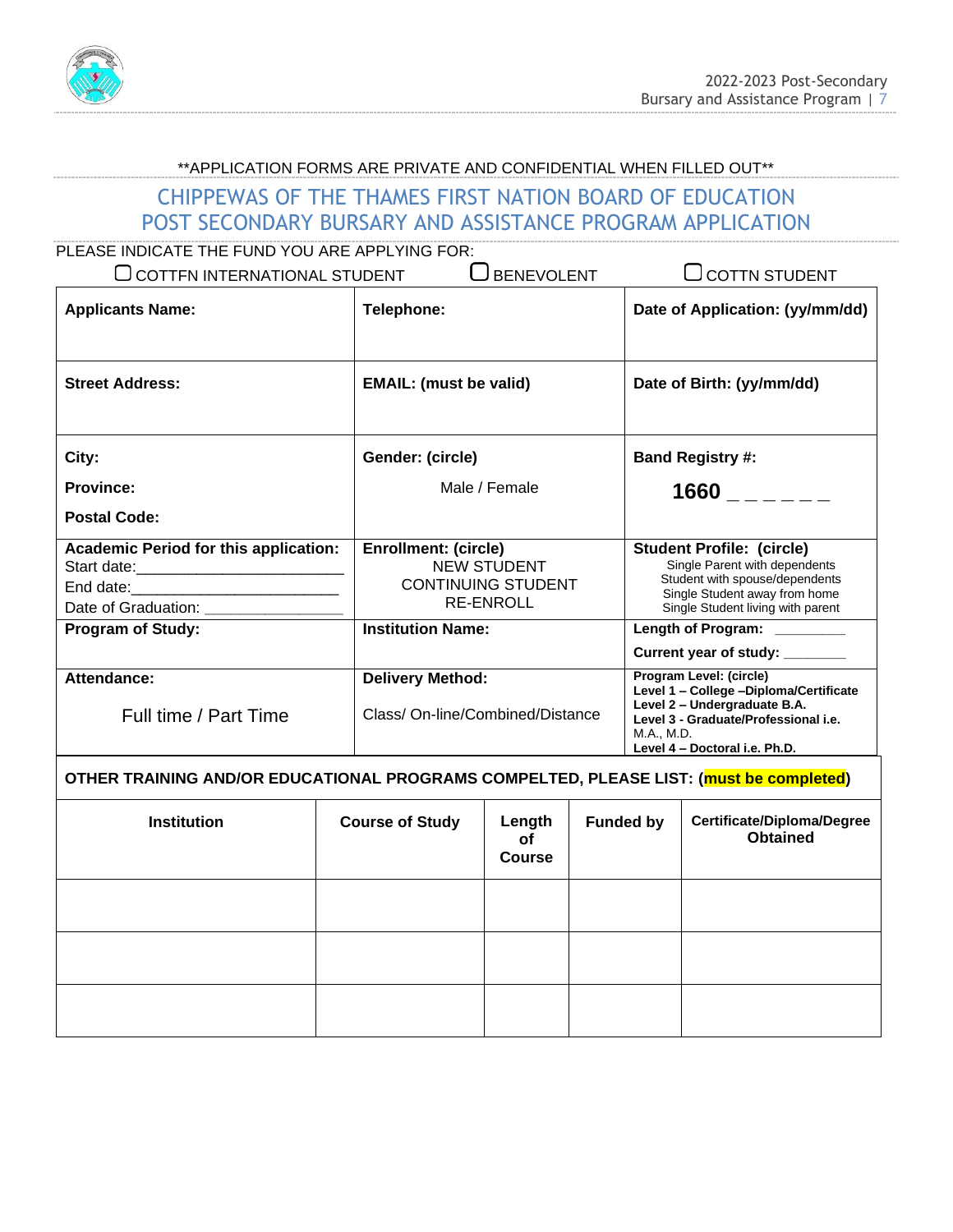

## \*\*APPLICATION FORMS ARE PRIVATE AND CONFIDENTIAL WHEN FILLED OUT\*\*

# CHIPPEWAS OF THE THAMES FIRST NATION BOARD OF EDUCATION POST SECONDARY BURSARY AND ASSISTANCE PROGRAM APPLICATION

| PLEASE INDICATE THE FUND YOU ARE APPLYING FOR:                                        |                                                                                                    |                                                                                                                                                                                          |  |
|---------------------------------------------------------------------------------------|----------------------------------------------------------------------------------------------------|------------------------------------------------------------------------------------------------------------------------------------------------------------------------------------------|--|
| $\bigcup$ COTTFN INTERNATIONAL STUDENT                                                | $\bigcup$ BENEVOLENT                                                                               | <b>OCOTTN STUDENT</b>                                                                                                                                                                    |  |
| <b>Applicants Name:</b>                                                               | Telephone:                                                                                         | Date of Application: (yy/mm/dd)                                                                                                                                                          |  |
| <b>Street Address:</b>                                                                | <b>EMAIL: (must be valid)</b>                                                                      | Date of Birth: (yy/mm/dd)                                                                                                                                                                |  |
| City:                                                                                 | Gender: (circle)                                                                                   | <b>Band Registry #:</b>                                                                                                                                                                  |  |
| <b>Province:</b>                                                                      | Male / Female                                                                                      | $1660$ $---$                                                                                                                                                                             |  |
| Postal Code:                                                                          |                                                                                                    |                                                                                                                                                                                          |  |
| <b>Academic Period for this application:</b><br>Date of Graduation: _________________ | <b>Enrollment: (circle)</b><br><b>NEW STUDENT</b><br><b>CONTINUING STUDENT</b><br><b>RE-ENROLL</b> | <b>Student Profile: (circle)</b><br>Single Parent with dependents<br>Student with spouse/dependents<br>Single Student away from home<br>Single Student living with parent                |  |
| <b>Program of Study:</b>                                                              | <b>Institution Name:</b>                                                                           | Length of Program: _______                                                                                                                                                               |  |
|                                                                                       |                                                                                                    | Current year of study: _______                                                                                                                                                           |  |
| Attendance:<br>Full time / Part Time                                                  | <b>Delivery Method:</b><br>Class/On-line/Combined/Distance                                         | Program Level: (circle)<br>Level 1 - College -Diploma/Certificate<br>Level 2 - Undergraduate B.A.<br>Level 3 - Graduate/Professional i.e.<br>M.A., M.D.<br>Level 4 - Doctoral i.e. Ph.D. |  |

| <b>Institution</b> | <b>Course of Study</b> | Length<br>оf<br><b>Course</b> | <b>Funded by</b> | <b>Certificate/Diploma/Degree</b><br><b>Obtained</b> |
|--------------------|------------------------|-------------------------------|------------------|------------------------------------------------------|
|                    |                        |                               |                  |                                                      |
|                    |                        |                               |                  |                                                      |
|                    |                        |                               |                  |                                                      |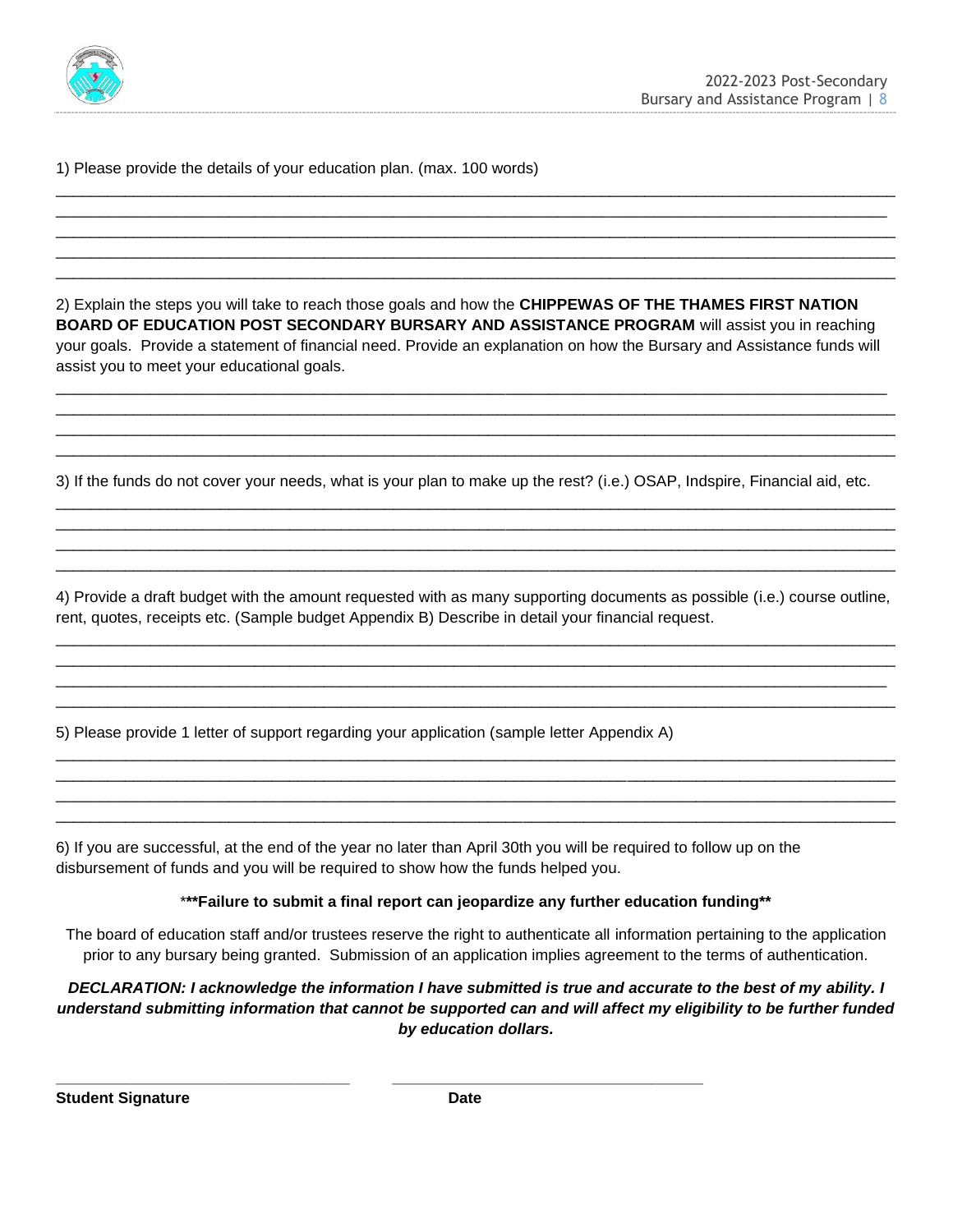

1) Please provide the details of your education plan. (max. 100 words)

2) Explain the steps you will take to reach those goals and how the **CHIPPEWAS OF THE THAMES FIRST NATION BOARD OF EDUCATION POST SECONDARY BURSARY AND ASSISTANCE PROGRAM** will assist you in reaching your goals. Provide a statement of financial need. Provide an explanation on how the Bursary and Assistance funds will assist you to meet your educational goals.

\_\_\_\_\_\_\_\_\_\_\_\_\_\_\_\_\_\_\_\_\_\_\_\_\_\_\_\_\_\_\_\_\_\_\_\_\_\_\_\_\_\_\_\_\_\_\_\_\_\_\_\_\_\_\_\_\_\_\_\_\_\_\_\_\_\_\_\_\_\_\_\_\_\_\_\_\_\_\_\_\_\_\_\_\_\_\_\_\_\_\_\_\_\_\_\_ \_\_\_\_\_\_\_\_\_\_\_\_\_\_\_\_\_\_\_\_\_\_\_\_\_\_\_\_\_\_\_\_\_\_\_\_\_\_\_\_\_\_\_\_\_\_\_\_\_\_\_\_\_\_\_\_\_\_\_\_\_\_\_\_\_\_\_\_\_\_\_\_\_\_\_\_\_\_\_\_\_\_\_\_\_\_\_\_\_\_\_\_\_\_\_\_\_ \_\_\_\_\_\_\_\_\_\_\_\_\_\_\_\_\_\_\_\_\_\_\_\_\_\_\_\_\_\_\_\_\_\_\_\_\_\_\_\_\_\_\_\_\_\_\_\_\_\_\_\_\_\_\_\_\_\_\_\_\_\_\_\_\_\_\_\_\_\_\_\_\_\_\_\_\_\_\_\_\_\_\_\_\_\_\_\_\_\_\_\_\_\_\_\_\_ \_\_\_\_\_\_\_\_\_\_\_\_\_\_\_\_\_\_\_\_\_\_\_\_\_\_\_\_\_\_\_\_\_\_\_\_\_\_\_\_\_\_\_\_\_\_\_\_\_\_\_\_\_\_\_\_\_\_\_\_\_\_\_\_\_\_\_\_\_\_\_\_\_\_\_\_\_\_\_\_\_\_\_\_\_\_\_\_\_\_\_\_\_\_\_\_\_

\_\_\_\_\_\_\_\_\_\_\_\_\_\_\_\_\_\_\_\_\_\_\_\_\_\_\_\_\_\_\_\_\_\_\_\_\_\_\_\_\_\_\_\_\_\_\_\_\_\_\_\_\_\_\_\_\_\_\_\_\_\_\_\_\_\_\_\_\_\_\_\_\_\_\_\_\_\_\_\_\_\_\_\_\_\_\_\_\_\_\_\_\_\_\_\_\_ \_\_\_\_\_\_\_\_\_\_\_\_\_\_\_\_\_\_\_\_\_\_\_\_\_\_\_\_\_\_\_\_\_\_\_\_\_\_\_\_\_\_\_\_\_\_\_\_\_\_\_\_\_\_\_\_\_\_\_\_\_\_\_\_\_\_\_\_\_\_\_\_\_\_\_\_\_\_\_\_\_\_\_\_\_\_\_\_\_\_\_\_\_\_\_\_ \_\_\_\_\_\_\_\_\_\_\_\_\_\_\_\_\_\_\_\_\_\_\_\_\_\_\_\_\_\_\_\_\_\_\_\_\_\_\_\_\_\_\_\_\_\_\_\_\_\_\_\_\_\_\_\_\_\_\_\_\_\_\_\_\_\_\_\_\_\_\_\_\_\_\_\_\_\_\_\_\_\_\_\_\_\_\_\_\_\_\_\_\_\_\_\_\_ \_\_\_\_\_\_\_\_\_\_\_\_\_\_\_\_\_\_\_\_\_\_\_\_\_\_\_\_\_\_\_\_\_\_\_\_\_\_\_\_\_\_\_\_\_\_\_\_\_\_\_\_\_\_\_\_\_\_\_\_\_\_\_\_\_\_\_\_\_\_\_\_\_\_\_\_\_\_\_\_\_\_\_\_\_\_\_\_\_\_\_\_\_\_\_\_\_ \_\_\_\_\_\_\_\_\_\_\_\_\_\_\_\_\_\_\_\_\_\_\_\_\_\_\_\_\_\_\_\_\_\_\_\_\_\_\_\_\_\_\_\_\_\_\_\_\_\_\_\_\_\_\_\_\_\_\_\_\_\_\_\_\_\_\_\_\_\_\_\_\_\_\_\_\_\_\_\_\_\_\_\_\_\_\_\_\_\_\_\_\_\_\_\_\_

3) If the funds do not cover your needs, what is your plan to make up the rest? (i.e.) OSAP, Indspire, Financial aid, etc.

\_\_\_\_\_\_\_\_\_\_\_\_\_\_\_\_\_\_\_\_\_\_\_\_\_\_\_\_\_\_\_\_\_\_\_\_\_\_\_\_\_\_\_\_\_\_\_\_\_\_\_\_\_\_\_\_\_\_\_\_\_\_\_\_\_\_\_\_\_\_\_\_\_\_\_\_\_\_\_\_\_\_\_\_\_\_\_\_\_\_\_\_\_\_\_\_\_ \_\_\_\_\_\_\_\_\_\_\_\_\_\_\_\_\_\_\_\_\_\_\_\_\_\_\_\_\_\_\_\_\_\_\_\_\_\_\_\_\_\_\_\_\_\_\_\_\_\_\_\_\_\_\_\_\_\_\_\_\_\_\_\_\_\_\_\_\_\_\_\_\_\_\_\_\_\_\_\_\_\_\_\_\_\_\_\_\_\_\_\_\_\_\_\_\_ \_\_\_\_\_\_\_\_\_\_\_\_\_\_\_\_\_\_\_\_\_\_\_\_\_\_\_\_\_\_\_\_\_\_\_\_\_\_\_\_\_\_\_\_\_\_\_\_\_\_\_\_\_\_\_\_\_\_\_\_\_\_\_\_\_\_\_\_\_\_\_\_\_\_\_\_\_\_\_\_\_\_\_\_\_\_\_\_\_\_\_\_\_\_\_\_\_ \_\_\_\_\_\_\_\_\_\_\_\_\_\_\_\_\_\_\_\_\_\_\_\_\_\_\_\_\_\_\_\_\_\_\_\_\_\_\_\_\_\_\_\_\_\_\_\_\_\_\_\_\_\_\_\_\_\_\_\_\_\_\_\_\_\_\_\_\_\_\_\_\_\_\_\_\_\_\_\_\_\_\_\_\_\_\_\_\_\_\_\_\_\_\_\_\_

4) Provide a draft budget with the amount requested with as many supporting documents as possible (i.e.) course outline, rent, quotes, receipts etc. (Sample budget Appendix B) Describe in detail your financial request.

\_\_\_\_\_\_\_\_\_\_\_\_\_\_\_\_\_\_\_\_\_\_\_\_\_\_\_\_\_\_\_\_\_\_\_\_\_\_\_\_\_\_\_\_\_\_\_\_\_\_\_\_\_\_\_\_\_\_\_\_\_\_\_\_\_\_\_\_\_\_\_\_\_\_\_\_\_\_\_\_\_\_\_\_\_\_\_\_\_\_\_\_\_\_\_\_\_ \_\_\_\_\_\_\_\_\_\_\_\_\_\_\_\_\_\_\_\_\_\_\_\_\_\_\_\_\_\_\_\_\_\_\_\_\_\_\_\_\_\_\_\_\_\_\_\_\_\_\_\_\_\_\_\_\_\_\_\_\_\_\_\_\_\_\_\_\_\_\_\_\_\_\_\_\_\_\_\_\_\_\_\_\_\_\_\_\_\_\_\_\_\_\_\_\_ \_\_\_\_\_\_\_\_\_\_\_\_\_\_\_\_\_\_\_\_\_\_\_\_\_\_\_\_\_\_\_\_\_\_\_\_\_\_\_\_\_\_\_\_\_\_\_\_\_\_\_\_\_\_\_\_\_\_\_\_\_\_\_\_\_\_\_\_\_\_\_\_\_\_\_\_\_\_\_\_\_\_\_\_\_\_\_\_\_\_\_\_\_\_\_\_ \_\_\_\_\_\_\_\_\_\_\_\_\_\_\_\_\_\_\_\_\_\_\_\_\_\_\_\_\_\_\_\_\_\_\_\_\_\_\_\_\_\_\_\_\_\_\_\_\_\_\_\_\_\_\_\_\_\_\_\_\_\_\_\_\_\_\_\_\_\_\_\_\_\_\_\_\_\_\_\_\_\_\_\_\_\_\_\_\_\_\_\_\_\_\_\_\_

\_\_\_\_\_\_\_\_\_\_\_\_\_\_\_\_\_\_\_\_\_\_\_\_\_\_\_\_\_\_\_\_\_\_\_\_\_\_\_\_\_\_\_\_\_\_\_\_\_\_\_\_\_\_\_\_\_\_\_\_\_\_\_\_\_\_\_\_\_\_\_\_\_\_\_\_\_\_\_\_\_\_\_\_\_\_\_\_\_\_\_\_\_\_\_\_\_ \_\_\_\_\_\_\_\_\_\_\_\_\_\_\_\_\_\_\_\_\_\_\_\_\_\_\_\_\_\_\_\_\_\_\_\_\_\_\_\_\_\_\_\_\_\_\_\_\_\_\_\_\_\_\_\_\_\_\_\_\_\_\_\_\_\_\_\_\_\_\_\_\_\_\_\_\_\_\_\_\_\_\_\_\_\_\_\_\_\_\_\_\_\_\_\_\_ \_\_\_\_\_\_\_\_\_\_\_\_\_\_\_\_\_\_\_\_\_\_\_\_\_\_\_\_\_\_\_\_\_\_\_\_\_\_\_\_\_\_\_\_\_\_\_\_\_\_\_\_\_\_\_\_\_\_\_\_\_\_\_\_\_\_\_\_\_\_\_\_\_\_\_\_\_\_\_\_\_\_\_\_\_\_\_\_\_\_\_\_\_\_\_\_\_ \_\_\_\_\_\_\_\_\_\_\_\_\_\_\_\_\_\_\_\_\_\_\_\_\_\_\_\_\_\_\_\_\_\_\_\_\_\_\_\_\_\_\_\_\_\_\_\_\_\_\_\_\_\_\_\_\_\_\_\_\_\_\_\_\_\_\_\_\_\_\_\_\_\_\_\_\_\_\_\_\_\_\_\_\_\_\_\_\_\_\_\_\_\_\_\_\_

5) Please provide 1 letter of support regarding your application (sample letter Appendix A)

**\_\_\_\_\_\_\_\_\_\_\_\_\_\_\_\_\_\_\_\_\_\_\_\_\_\_\_\_\_\_\_\_\_\_ \_\_\_\_\_\_\_\_\_\_\_\_\_\_\_\_\_\_\_\_\_\_\_\_\_\_\_\_\_\_\_\_\_\_\_\_**

6) If you are successful, at the end of the year no later than April 30th you will be required to follow up on the disbursement of funds and you will be required to show how the funds helped you.

\***\*\*Failure to submit a final report can jeopardize any further education funding\*\***

The board of education staff and/or trustees reserve the right to authenticate all information pertaining to the application prior to any bursary being granted. Submission of an application implies agreement to the terms of authentication.

*DECLARATION: I acknowledge the information I have submitted is true and accurate to the best of my ability. I understand submitting information that cannot be supported can and will affect my eligibility to be further funded by education dollars.*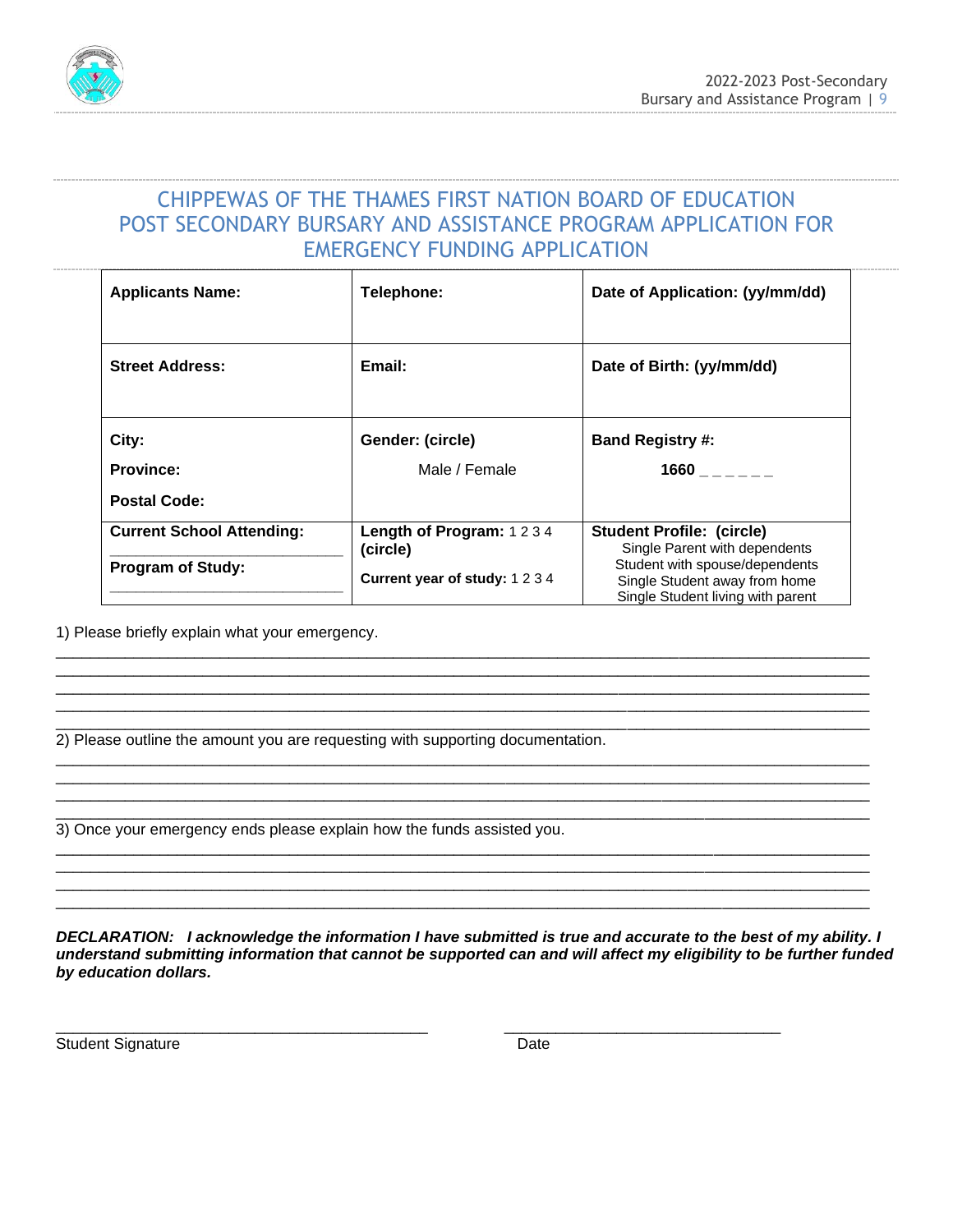



# CHIPPEWAS OF THE THAMES FIRST NATION BOARD OF EDUCATION POST SECONDARY BURSARY AND ASSISTANCE PROGRAM APPLICATION FOR EMERGENCY FUNDING APPLICATION

| <b>Applicants Name:</b>                 | Telephone:                          | Date of Application: (yy/mm/dd)                                                                      |  |
|-----------------------------------------|-------------------------------------|------------------------------------------------------------------------------------------------------|--|
| <b>Street Address:</b>                  | Email:                              | Date of Birth: (yy/mm/dd)                                                                            |  |
| City:                                   | Gender: (circle)                    | <b>Band Registry #:</b>                                                                              |  |
| <b>Province:</b><br><b>Postal Code:</b> | Male / Female                       | $1660$ _ _ _ _ _                                                                                     |  |
| <b>Current School Attending:</b>        | Length of Program: 1234<br>(circle) | <b>Student Profile: (circle)</b><br>Single Parent with dependents                                    |  |
| <b>Program of Study:</b>                | Current year of study: 1234         | Student with spouse/dependents<br>Single Student away from home<br>Single Student living with parent |  |

\_\_\_\_\_\_\_\_\_\_\_\_\_\_\_\_\_\_\_\_\_\_\_\_\_\_\_\_\_\_\_\_\_\_\_\_\_\_\_\_\_\_\_\_\_\_\_\_\_\_\_\_\_\_\_\_\_\_\_\_\_\_\_\_\_\_\_\_\_\_\_\_\_\_\_\_\_\_\_\_\_\_\_\_\_\_\_\_\_\_\_\_\_\_ \_\_\_\_\_\_\_\_\_\_\_\_\_\_\_\_\_\_\_\_\_\_\_\_\_\_\_\_\_\_\_\_\_\_\_\_\_\_\_\_\_\_\_\_\_\_\_\_\_\_\_\_\_\_\_\_\_\_\_\_\_\_\_\_\_\_\_\_\_\_\_\_\_\_\_\_\_\_\_\_\_\_\_\_\_\_\_\_\_\_\_\_\_\_ \_\_\_\_\_\_\_\_\_\_\_\_\_\_\_\_\_\_\_\_\_\_\_\_\_\_\_\_\_\_\_\_\_\_\_\_\_\_\_\_\_\_\_\_\_\_\_\_\_\_\_\_\_\_\_\_\_\_\_\_\_\_\_\_\_\_\_\_\_\_\_\_\_\_\_\_\_\_\_\_\_\_\_\_\_\_\_\_\_\_\_\_\_\_ \_\_\_\_\_\_\_\_\_\_\_\_\_\_\_\_\_\_\_\_\_\_\_\_\_\_\_\_\_\_\_\_\_\_\_\_\_\_\_\_\_\_\_\_\_\_\_\_\_\_\_\_\_\_\_\_\_\_\_\_\_\_\_\_\_\_\_\_\_\_\_\_\_\_\_\_\_\_\_\_\_\_\_\_\_\_\_\_\_\_\_\_\_\_

\_\_\_\_\_\_\_\_\_\_\_\_\_\_\_\_\_\_\_\_\_\_\_\_\_\_\_\_\_\_\_\_\_\_\_\_\_\_\_\_\_\_\_\_\_\_\_\_\_\_\_\_\_\_\_\_\_\_\_\_\_\_\_\_\_\_\_\_\_\_\_\_\_\_\_\_\_\_\_\_\_\_\_\_\_\_\_\_\_\_\_\_\_\_ \_\_\_\_\_\_\_\_\_\_\_\_\_\_\_\_\_\_\_\_\_\_\_\_\_\_\_\_\_\_\_\_\_\_\_\_\_\_\_\_\_\_\_\_\_\_\_\_\_\_\_\_\_\_\_\_\_\_\_\_\_\_\_\_\_\_\_\_\_\_\_\_\_\_\_\_\_\_\_\_\_\_\_\_\_\_\_\_\_\_\_\_\_\_ \_\_\_\_\_\_\_\_\_\_\_\_\_\_\_\_\_\_\_\_\_\_\_\_\_\_\_\_\_\_\_\_\_\_\_\_\_\_\_\_\_\_\_\_\_\_\_\_\_\_\_\_\_\_\_\_\_\_\_\_\_\_\_\_\_\_\_\_\_\_\_\_\_\_\_\_\_\_\_\_\_\_\_\_\_\_\_\_\_\_\_\_\_\_

\_\_\_\_\_\_\_\_\_\_\_\_\_\_\_\_\_\_\_\_\_\_\_\_\_\_\_\_\_\_\_\_\_\_\_\_\_\_\_\_\_\_\_\_\_\_\_\_\_\_\_\_\_\_\_\_\_\_\_\_\_\_\_\_\_\_\_\_\_\_\_\_\_\_\_\_\_\_\_\_\_\_\_\_\_\_\_\_\_\_\_\_\_\_ \_\_\_\_\_\_\_\_\_\_\_\_\_\_\_\_\_\_\_\_\_\_\_\_\_\_\_\_\_\_\_\_\_\_\_\_\_\_\_\_\_\_\_\_\_\_\_\_\_\_\_\_\_\_\_\_\_\_\_\_\_\_\_\_\_\_\_\_\_\_\_\_\_\_\_\_\_\_\_\_\_\_\_\_\_\_\_\_\_\_\_\_\_\_ \_\_\_\_\_\_\_\_\_\_\_\_\_\_\_\_\_\_\_\_\_\_\_\_\_\_\_\_\_\_\_\_\_\_\_\_\_\_\_\_\_\_\_\_\_\_\_\_\_\_\_\_\_\_\_\_\_\_\_\_\_\_\_\_\_\_\_\_\_\_\_\_\_\_\_\_\_\_\_\_\_\_\_\_\_\_\_\_\_\_\_\_\_\_ \_\_\_\_\_\_\_\_\_\_\_\_\_\_\_\_\_\_\_\_\_\_\_\_\_\_\_\_\_\_\_\_\_\_\_\_\_\_\_\_\_\_\_\_\_\_\_\_\_\_\_\_\_\_\_\_\_\_\_\_\_\_\_\_\_\_\_\_\_\_\_\_\_\_\_\_\_\_\_\_\_\_\_\_\_\_\_\_\_\_\_\_\_\_

1) Please briefly explain what your emergency.

\_\_\_\_\_\_\_\_\_\_\_\_\_\_\_\_\_\_\_\_\_\_\_\_\_\_\_\_\_\_\_\_\_\_\_\_\_\_\_\_\_\_\_\_\_\_\_\_\_\_\_\_\_\_\_\_\_\_\_\_\_\_\_\_\_\_\_\_\_\_\_\_\_\_\_\_\_\_\_\_\_\_\_\_\_\_\_\_\_\_\_\_\_\_ 2) Please outline the amount you are requesting with supporting documentation.

\_\_\_\_\_\_\_\_\_\_\_\_\_\_\_\_\_\_\_\_\_\_\_\_\_\_\_\_\_\_\_\_\_\_\_\_\_\_\_\_\_\_\_\_\_\_\_\_\_\_\_\_\_\_\_\_\_\_\_\_\_\_\_\_\_\_\_\_\_\_\_\_\_\_\_\_\_\_\_\_\_\_\_\_\_\_\_\_\_\_\_\_\_\_ 3) Once your emergency ends please explain how the funds assisted you.

*DECLARATION: I acknowledge the information I have submitted is true and accurate to the best of my ability. I understand submitting information that cannot be supported can and will affect my eligibility to be further funded by education dollars.*

Student Signature Date

\_\_\_\_\_\_\_\_\_\_\_\_\_\_\_\_\_\_\_\_\_\_\_\_\_\_\_\_\_\_\_\_\_\_\_\_\_\_\_\_\_\_\_ \_\_\_\_\_\_\_\_\_\_\_\_\_\_\_\_\_\_\_\_\_\_\_\_\_\_\_\_\_\_\_\_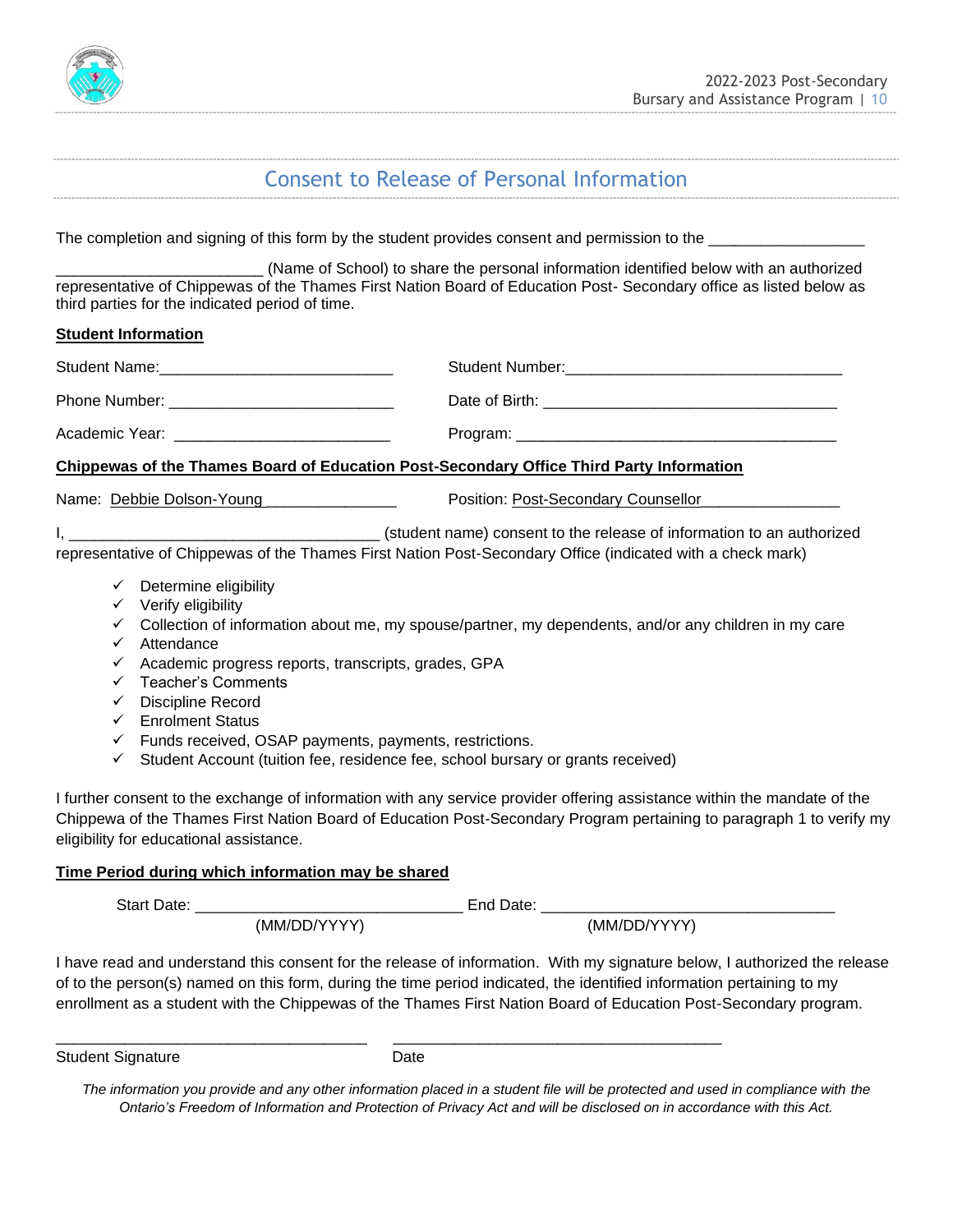

# Consent to Release of Personal Information

The completion and signing of this form by the student provides consent and permission to the \_\_\_\_\_\_\_\_\_\_\_\_\_\_\_\_\_\_

\_\_\_\_\_\_\_\_\_\_\_\_\_\_\_\_\_\_\_\_\_\_\_\_ (Name of School) to share the personal information identified below with an authorized representative of Chippewas of the Thames First Nation Board of Education Post- Secondary office as listed below as third parties for the indicated period of time.

#### **Student Information**

| <b>Student Name:</b> | Student Number: |
|----------------------|-----------------|
| Phone Number:        | Date of Birth:  |
| Academic Year:       | Program:        |

#### **Chippewas of the Thames Board of Education Post-Secondary Office Third Party Information**

Name: Debbie Dolson-Young \_\_\_\_\_\_\_\_\_\_\_\_\_\_\_ Position: Post-Secondary Counsellor\_\_\_\_\_\_\_\_\_\_\_\_\_\_\_\_

I, **I** and the release of information to an authorized (student name) consent to the release of information to an authorized

representative of Chippewas of the Thames First Nation Post-Secondary Office (indicated with a check mark)

- $\checkmark$  Determine eligibility
- ✓ Verify eligibility
- ✓ Collection of information about me, my spouse/partner, my dependents, and/or any children in my care
- ✓ Attendance
- $\checkmark$  Academic progress reports, transcripts, grades, GPA
- ✓ Teacher's Comments
- ✓ Discipline Record
- ✓ Enrolment Status
- ✓ Funds received, OSAP payments, payments, restrictions.
- ✓ Student Account (tuition fee, residence fee, school bursary or grants received)

I further consent to the exchange of information with any service provider offering assistance within the mandate of the Chippewa of the Thames First Nation Board of Education Post-Secondary Program pertaining to paragraph 1 to verify my eligibility for educational assistance.

## **Time Period during which information may be shared**

| Star<br>)ate<br>---- |              |              |  |
|----------------------|--------------|--------------|--|
|                      | (MM/DD/YYYY) | (MM/DD/YYYY) |  |

I have read and understand this consent for the release of information. With my signature below, I authorized the release of to the person(s) named on this form, during the time period indicated, the identified information pertaining to my enrollment as a student with the Chippewas of the Thames First Nation Board of Education Post-Secondary program.

Student Signature Date

\_\_\_\_\_\_\_\_\_\_\_\_\_\_\_\_\_\_\_\_\_\_\_\_\_\_\_\_\_\_\_\_\_\_\_\_ \_\_\_\_\_\_\_\_\_\_\_\_\_\_\_\_\_\_\_\_\_\_\_\_\_\_\_\_\_\_\_\_\_\_\_\_\_\_

*The information you provide and any other information placed in a student file will be protected and used in compliance with the Ontario's Freedom of Information and Protection of Privacy Act and will be disclosed on in accordance with this Act.*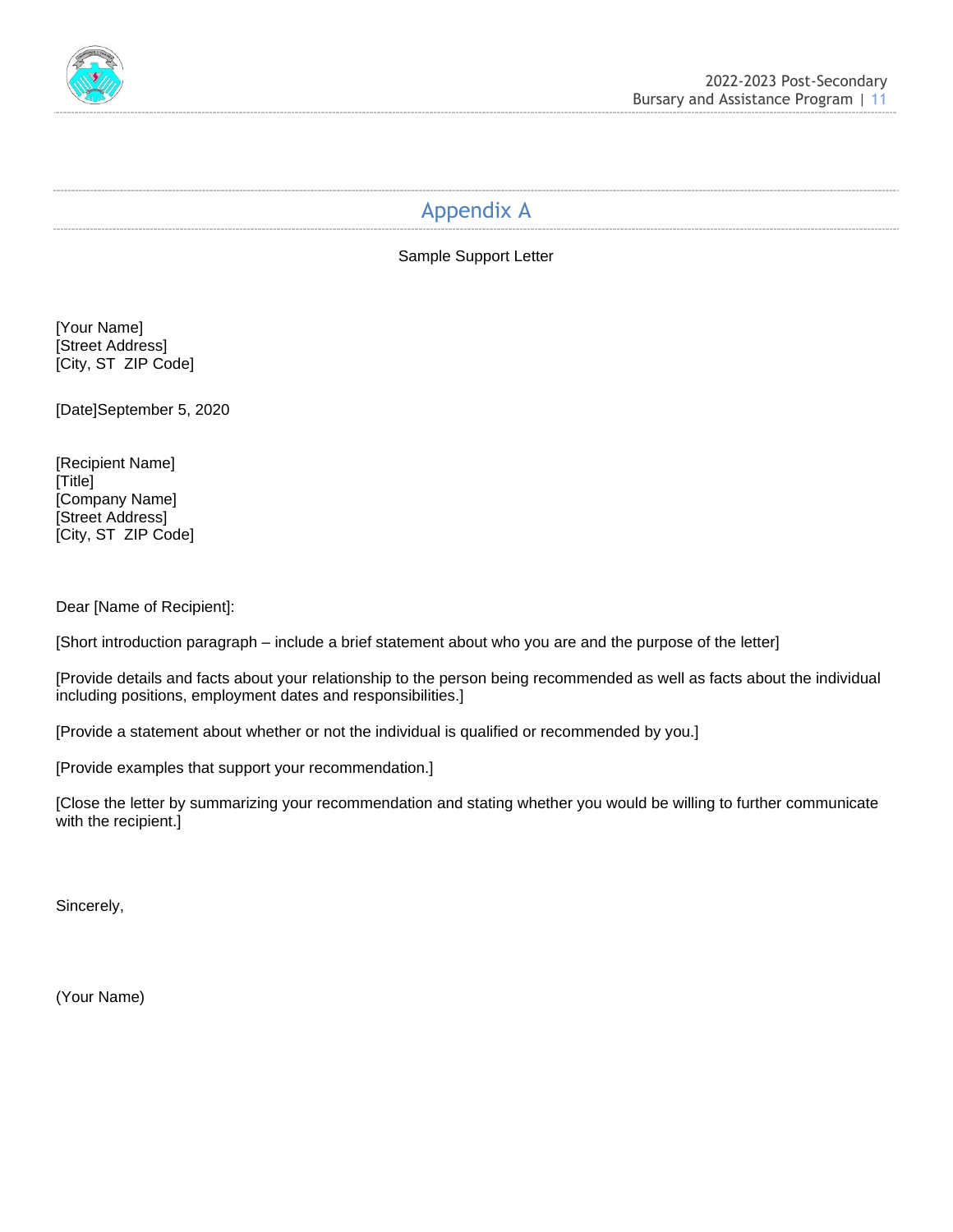

# Appendix A

Sample Support Letter

[Your Name] [Street Address] [City, ST ZIP Code]

[Date]September 5, 2020

[Recipient Name] [Title] [Company Name] [Street Address] [City, ST ZIP Code]

Dear [Name of Recipient]:

[Short introduction paragraph – include a brief statement about who you are and the purpose of the letter]

[Provide details and facts about your relationship to the person being recommended as well as facts about the individual including positions, employment dates and responsibilities.]

[Provide a statement about whether or not the individual is qualified or recommended by you.]

[Provide examples that support your recommendation.]

[Close the letter by summarizing your recommendation and stating whether you would be willing to further communicate with the recipient.]

Sincerely,

(Your Name)